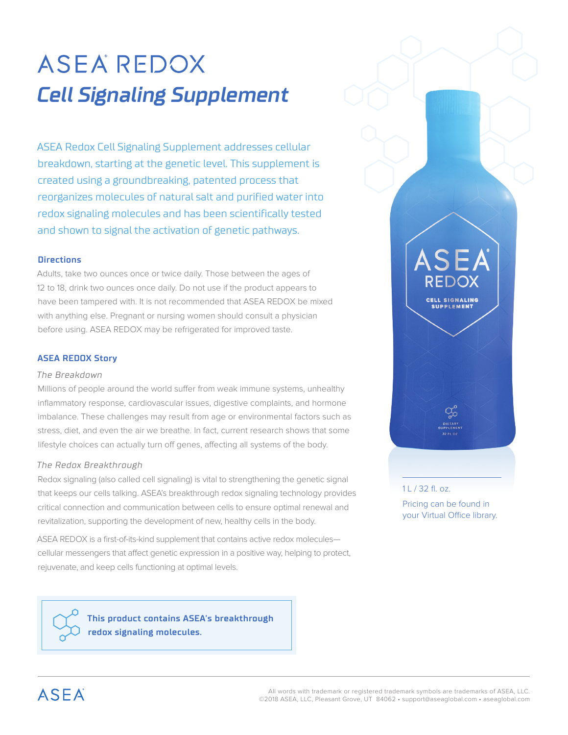# **ASEA REDOX** *Cell Signaling Supplement*

ASEA Redox Cell Signaling Supplement addresses cellular breakdown, starting at the genetic level. This supplement is created using a groundbreaking, patented process that reorganizes molecules of natural salt and purified water into redox signaling molecules and has been scientifically tested and shown to signal the activation of genetic pathways.

#### **Directions**

Adults, take two ounces once or twice daily. Those between the ages of 12 to 18, drink two ounces once daily. Do not use if the product appears to have been tampered with. It is not recommended that ASEA REDOX be mixed with anything else. Pregnant or nursing women should consult a physician before using. ASEA REDOX may be refrigerated for improved taste.

#### **ASEA REDOX Story**

#### *The Breakdown*

Millions of people around the world suffer from weak immune systems, unhealthy inflammatory response, cardiovascular issues, digestive complaints, and hormone imbalance. These challenges may result from age or environmental factors such as stress, diet, and even the air we breathe. In fact, current research shows that some lifestyle choices can actually turn off genes, affecting all systems of the body.

#### *The Redox Breakthrough*

Redox signaling (also called cell signaling) is vital to strengthening the genetic signal that keeps our cells talking. ASEA's breakthrough redox signaling technology provides critical connection and communication between cells to ensure optimal renewal and revitalization, supporting the development of new, healthy cells in the body.

ASEA REDOX is a first-of-its-kind supplement that contains active redox molecules cellular messengers that affect genetic expression in a positive way, helping to protect, rejuvenate, and keep cells functioning at optimal levels.

> **This product contains ASEA's breakthrough redox signaling molecules.**



1 L / 32 fl. oz.

Pricing can be found in your Virtual Office library.